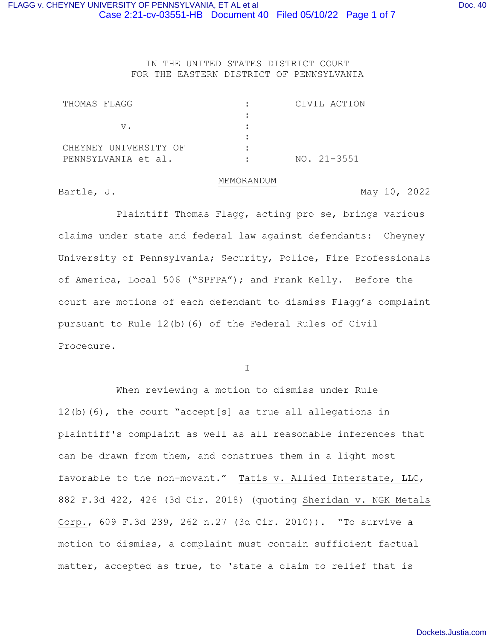IN THE UNITED STATES DISTRICT COURT FOR THE EASTERN DISTRICT OF PENNSYLVANIA

| THOMAS FLAGG          | CIVIL ACTION    |
|-----------------------|-----------------|
|                       |                 |
| V.                    |                 |
|                       |                 |
| CHEYNEY UNIVERSITY OF |                 |
| PENNSYLVANIA et al.   | $NO. 21 - 3551$ |

#### MEMORANDUM

Bartle, J. May 10, 2022

Plaintiff Thomas Flagg, acting pro se, brings various claims under state and federal law against defendants: Cheyney University of Pennsylvania; Security, Police, Fire Professionals of America, Local 506 ("SPFPA"); and Frank Kelly. Before the court are motions of each defendant to dismiss Flagg's complaint pursuant to Rule 12(b)(6) of the Federal Rules of Civil Procedure.

I

When reviewing a motion to dismiss under Rule 12(b)(6), the court "accept[s] as true all allegations in plaintiff's complaint as well as all reasonable inferences that can be drawn from them, and construes them in a light most favorable to the non-movant." Tatis v. Allied Interstate, LLC, 882 F.3d 422, 426 (3d Cir. 2018) (quoting Sheridan v. NGK Metals Corp., 609 F.3d 239, 262 n.27 (3d Cir. 2010)). "To survive a motion to dismiss, a complaint must contain sufficient factual matter, accepted as true, to 'state a claim to relief that is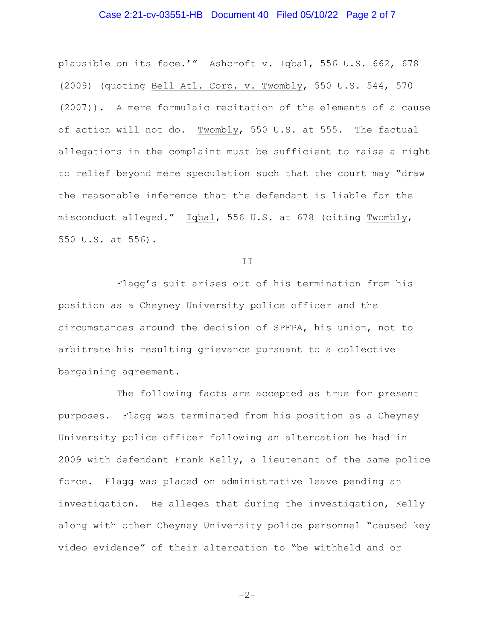## Case 2:21-cv-03551-HB Document 40 Filed 05/10/22 Page 2 of 7

plausible on its face.'" Ashcroft v. Iqbal, 556 U.S. 662, 678 (2009) (quoting Bell Atl. Corp. v. Twombly, 550 U.S. 544, 570 (2007)). A mere formulaic recitation of the elements of a cause of action will not do. Twombly, 550 U.S. at 555. The factual allegations in the complaint must be sufficient to raise a right to relief beyond mere speculation such that the court may "draw the reasonable inference that the defendant is liable for the misconduct alleged." Iqbal, 556 U.S. at 678 (citing Twombly, 550 U.S. at 556).

II

Flagg's suit arises out of his termination from his position as a Cheyney University police officer and the circumstances around the decision of SPFPA, his union, not to arbitrate his resulting grievance pursuant to a collective bargaining agreement.

The following facts are accepted as true for present purposes. Flagg was terminated from his position as a Cheyney University police officer following an altercation he had in 2009 with defendant Frank Kelly, a lieutenant of the same police force. Flagg was placed on administrative leave pending an investigation. He alleges that during the investigation, Kelly along with other Cheyney University police personnel "caused key video evidence" of their altercation to "be withheld and or

$$
-2-
$$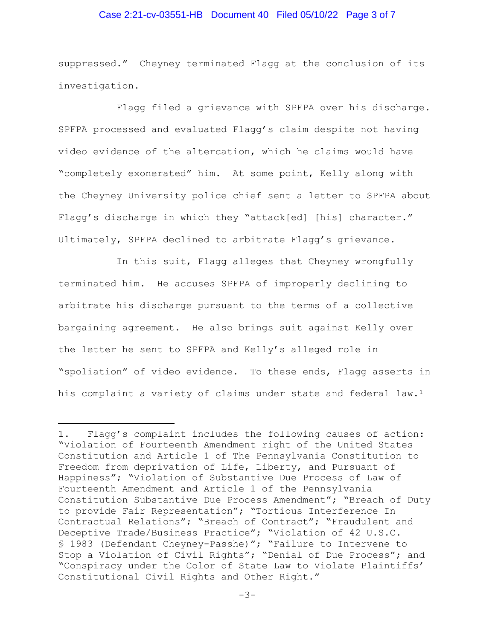#### Case 2:21-cv-03551-HB Document 40 Filed 05/10/22 Page 3 of 7

suppressed." Cheyney terminated Flagg at the conclusion of its investigation.

Flagg filed a grievance with SPFPA over his discharge. SPFPA processed and evaluated Flagg's claim despite not having video evidence of the altercation, which he claims would have "completely exonerated" him. At some point, Kelly along with the Cheyney University police chief sent a letter to SPFPA about Flagg's discharge in which they "attack[ed] [his] character." Ultimately, SPFPA declined to arbitrate Flagg's grievance.

In this suit, Flagg alleges that Cheyney wrongfully terminated him. He accuses SPFPA of improperly declining to arbitrate his discharge pursuant to the terms of a collective bargaining agreement. He also brings suit against Kelly over the letter he sent to SPFPA and Kelly's alleged role in "spoliation" of video evidence. To these ends, Flagg asserts in his complaint a variety of claims under state and federal law.<sup>[1](#page-2-0)</sup>

<span id="page-2-0"></span><sup>1.</sup> Flagg's complaint includes the following causes of action: "Violation of Fourteenth Amendment right of the United States Constitution and Article 1 of The Pennsylvania Constitution to Freedom from deprivation of Life, Liberty, and Pursuant of Happiness"; "Violation of Substantive Due Process of Law of Fourteenth Amendment and Article 1 of the Pennsylvania Constitution Substantive Due Process Amendment"; "Breach of Duty to provide Fair Representation"; "Tortious Interference In Contractual Relations"; "Breach of Contract"; "Fraudulent and Deceptive Trade/Business Practice"; "Violation of 42 U.S.C. § 1983 (Defendant Cheyney-Passhe)"; "Failure to Intervene to Stop a Violation of Civil Rights"; "Denial of Due Process"; and "Conspiracy under the Color of State Law to Violate Plaintiffs' Constitutional Civil Rights and Other Right."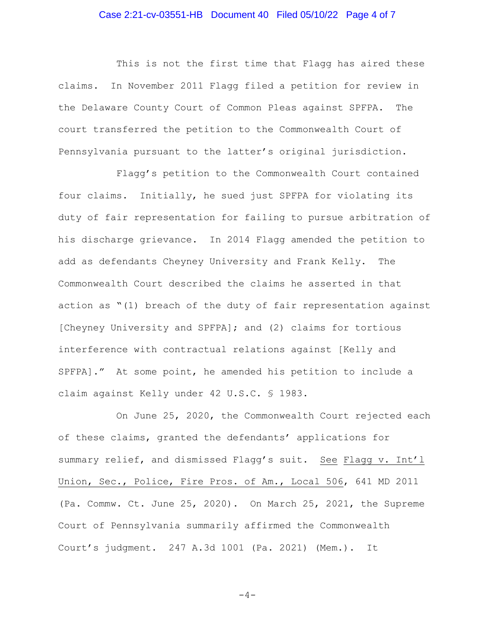## Case 2:21-cv-03551-HB Document 40 Filed 05/10/22 Page 4 of 7

This is not the first time that Flagg has aired these claims. In November 2011 Flagg filed a petition for review in the Delaware County Court of Common Pleas against SPFPA. The court transferred the petition to the Commonwealth Court of Pennsylvania pursuant to the latter's original jurisdiction.

Flagg's petition to the Commonwealth Court contained four claims. Initially, he sued just SPFPA for violating its duty of fair representation for failing to pursue arbitration of his discharge grievance. In 2014 Flagg amended the petition to add as defendants Cheyney University and Frank Kelly. The Commonwealth Court described the claims he asserted in that action as "(1) breach of the duty of fair representation against [Cheyney University and SPFPA]; and (2) claims for tortious interference with contractual relations against [Kelly and SPFPA]." At some point, he amended his petition to include a claim against Kelly under 42 U.S.C. § 1983.

On June 25, 2020, the Commonwealth Court rejected each of these claims, granted the defendants' applications for summary relief, and dismissed Flagg's suit. See Flagg v. Int'l Union, Sec., Police, Fire Pros. of Am., Local 506, 641 MD 2011 (Pa. Commw. Ct. June 25, 2020). On March 25, 2021, the Supreme Court of Pennsylvania summarily affirmed the Commonwealth Court's judgment. 247 A.3d 1001 (Pa. 2021) (Mem.). It

$$
-4-
$$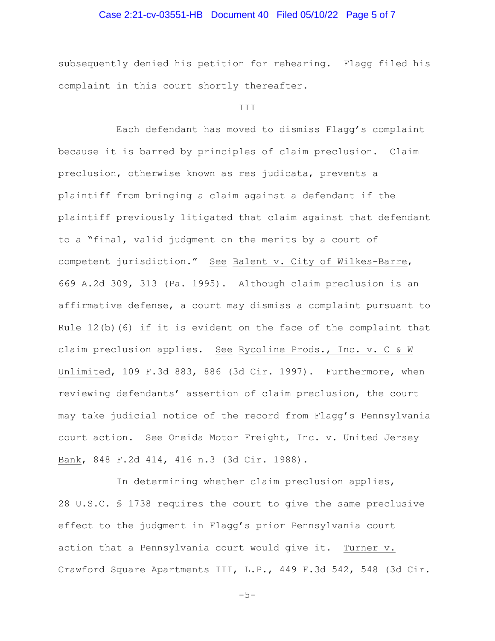## Case 2:21-cv-03551-HB Document 40 Filed 05/10/22 Page 5 of 7

subsequently denied his petition for rehearing. Flagg filed his complaint in this court shortly thereafter.

#### III

Each defendant has moved to dismiss Flagg's complaint because it is barred by principles of claim preclusion. Claim preclusion, otherwise known as res judicata, prevents a plaintiff from bringing a claim against a defendant if the plaintiff previously litigated that claim against that defendant to a "final, valid judgment on the merits by a court of competent jurisdiction." See Balent v. City of Wilkes-Barre, 669 A.2d 309, 313 (Pa. 1995). Although claim preclusion is an affirmative defense, a court may dismiss a complaint pursuant to Rule  $12(b)$  (6) if it is evident on the face of the complaint that claim preclusion applies. See Rycoline Prods., Inc. v. C & W Unlimited, 109 F.3d 883, 886 (3d Cir. 1997). Furthermore, when reviewing defendants' assertion of claim preclusion, the court may take judicial notice of the record from Flagg's Pennsylvania court action. See Oneida Motor Freight, Inc. v. United Jersey Bank, 848 F.2d 414, 416 n.3 (3d Cir. 1988).

In determining whether claim preclusion applies, 28 U.S.C. § 1738 requires the court to give the same preclusive effect to the judgment in Flagg's prior Pennsylvania court action that a Pennsylvania court would give it. Turner v. Crawford Square Apartments III, L.P., 449 F.3d 542, 548 (3d Cir.

 $-5-$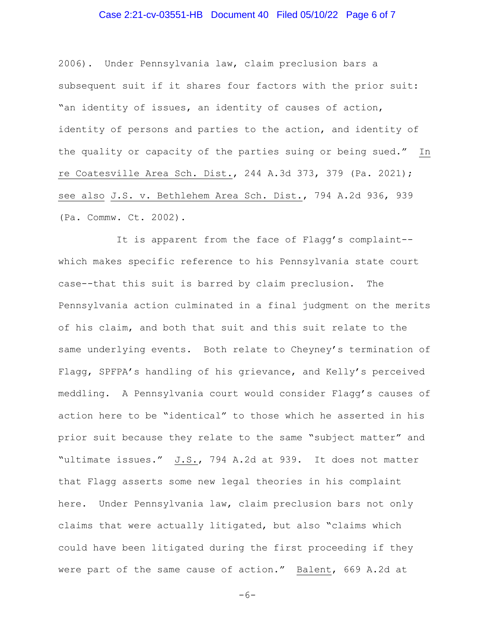## Case 2:21-cv-03551-HB Document 40 Filed 05/10/22 Page 6 of 7

2006). Under Pennsylvania law, claim preclusion bars a subsequent suit if it shares four factors with the prior suit: "an identity of issues, an identity of causes of action, identity of persons and parties to the action, and identity of the quality or capacity of the parties suing or being sued." In re Coatesville Area Sch. Dist., 244 A.3d 373, 379 (Pa. 2021); see also J.S. v. Bethlehem Area Sch. Dist., 794 A.2d 936, 939 (Pa. Commw. Ct. 2002).

It is apparent from the face of Flagg's complaint- which makes specific reference to his Pennsylvania state court case--that this suit is barred by claim preclusion. The Pennsylvania action culminated in a final judgment on the merits of his claim, and both that suit and this suit relate to the same underlying events. Both relate to Cheyney's termination of Flagg, SPFPA's handling of his grievance, and Kelly's perceived meddling. A Pennsylvania court would consider Flagg's causes of action here to be "identical" to those which he asserted in his prior suit because they relate to the same "subject matter" and "ultimate issues." J.S., 794 A.2d at 939. It does not matter that Flagg asserts some new legal theories in his complaint here. Under Pennsylvania law, claim preclusion bars not only claims that were actually litigated, but also "claims which could have been litigated during the first proceeding if they were part of the same cause of action." Balent, 669 A.2d at

```
-6-
```